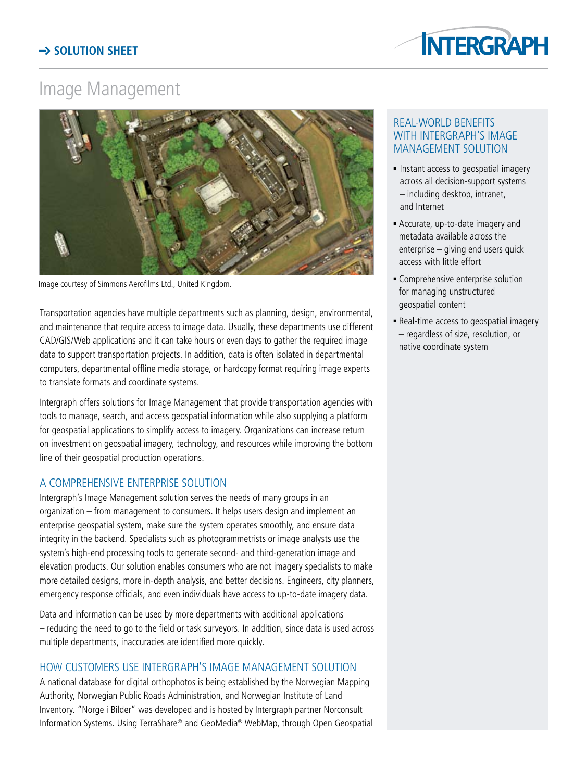

# Image Management



Image courtesy of Simmons Aerofilms Ltd., United Kingdom.

Transportation agencies have multiple departments such as planning, design, environmental, and maintenance that require access to image data. Usually, these departments use different CAD/GIS/Web applications and it can take hours or even days to gather the required image data to support transportation projects. In addition, data is often isolated in departmental computers, departmental offline media storage, or hardcopy format requiring image experts to translate formats and coordinate systems.

Intergraph offers solutions for Image Management that provide transportation agencies with tools to manage, search, and access geospatial information while also supplying a platform for geospatial applications to simplify access to imagery. Organizations can increase return on investment on geospatial imagery, technology, and resources while improving the bottom line of their geospatial production operations.

## A comprehensive enterprise solution

Intergraph's Image Management solution serves the needs of many groups in an organization – from management to consumers. It helps users design and implement an enterprise geospatial system, make sure the system operates smoothly, and ensure data integrity in the backend. Specialists such as photogrammetrists or image analysts use the system's high-end processing tools to generate second- and third-generation image and elevation products. Our solution enables consumers who are not imagery specialists to make more detailed designs, more in-depth analysis, and better decisions. Engineers, city planners, emergency response officials, and even individuals have access to up-to-date imagery data.

Data and information can be used by more departments with additional applications – reducing the need to go to the field or task surveyors. In addition, since data is used across multiple departments, inaccuracies are identified more quickly.

## How customers use Intergraph's Image Management solution

A national database for digital orthophotos is being established by the Norwegian Mapping Authority, Norwegian Public Roads Administration, and Norwegian Institute of Land Inventory. "Norge i Bilder" was developed and is hosted by Intergraph partner Norconsult Information Systems. Using TerraShare® and GeoMedia® WebMap, through Open Geospatial

#### Real-world benefits with Intergraph's Image Management solution

- Instant access to geospatial imagery across all decision-support systems – including desktop, intranet, and Internet
- <sup>n</sup> Accurate, up-to-date imagery and metadata available across the enterprise – giving end users quick access with little effort
- **EX Comprehensive enterprise solution** for managing unstructured geospatial content
- <sup>n</sup> Real-time access to geospatial imagery – regardless of size, resolution, or native coordinate system